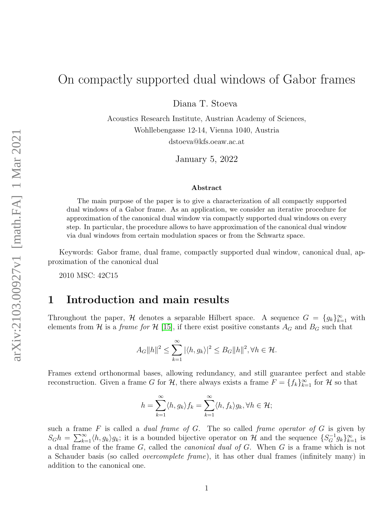# On compactly supported dual windows of Gabor frames

Diana T. Stoeva

Acoustics Research Institute, Austrian Academy of Sciences, Wohllebengasse 12-14, Vienna 1040, Austria dstoeva@kfs.oeaw.ac.at

January 5, 2022

#### Abstract

The main purpose of the paper is to give a characterization of all compactly supported dual windows of a Gabor frame. As an application, we consider an iterative procedure for approximation of the canonical dual window via compactly supported dual windows on every step. In particular, the procedure allows to have approximation of the canonical dual window via dual windows from certain modulation spaces or from the Schwartz space.

Keywords: Gabor frame, dual frame, compactly supported dual window, canonical dual, approximation of the canonical dual

2010 MSC: 42C15

### 1 Introduction and main results

Throughout the paper, H denotes a separable Hilbert space. A sequence  $G = \{g_k\}_{k=1}^{\infty}$  with elements from H is a frame for H [\[15\]](#page-10-0), if there exist positive constants  $A_G$  and  $B_G$  such that

$$
A_G||h||^2 \le \sum_{k=1}^{\infty} |\langle h, g_k \rangle|^2 \le B_G||h||^2, \forall h \in \mathcal{H}.
$$

Frames extend orthonormal bases, allowing redundancy, and still guarantee perfect and stable reconstruction. Given a frame G for  $\mathcal{H}$ , there always exists a frame  $F = \{f_k\}_{k=1}^{\infty}$  for  $\mathcal{H}$  so that

$$
h = \sum_{k=1}^{\infty} \langle h, g_k \rangle f_k = \sum_{k=1}^{\infty} \langle h, f_k \rangle g_k, \forall h \in \mathcal{H};
$$

such a frame F is called a *dual frame of G*. The so called *frame operator of G* is given by  $S_G h = \sum_{k=1}^{\infty} \langle h, g_k \rangle g_k$ ; it is a bounded bijective operator on H and the sequence  $\{S_G^{-1} g_k\}_{k=1}^{\infty}$  is a dual frame of the frame G, called the *canonical dual of G*. When G is a frame which is not a Schauder basis (so called overcomplete frame), it has other dual frames (infinitely many) in addition to the canonical one.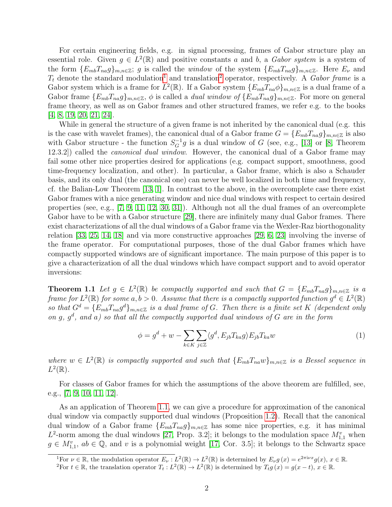For certain engineering fields, e.g. in signal processing, frames of Gabor structure play an essential role. Given  $g \in L^2(\mathbb{R})$  and positive constants a and b, a Gabor system is a system of the form  $\{E_{mb}T_{na}g\}_{m,n\in\mathbb{Z}}$ ; g is called the window of the system  $\{E_{mb}T_{na}g\}_{m,n\in\mathbb{Z}}$ . Here  $E_{\nu}$  and  $T_t$  denote the standard modulation<sup>[1](#page-1-0)</sup> and translation<sup>[2](#page-1-1)</sup> operator, respectively. A Gabor frame is a Gabor system which is a frame for  $L^2(\mathbb{R})$ . If a Gabor system  $\{E_{mb}T_{na}\phi\}_{m,n\in\mathbb{Z}}$  is a dual frame of a Gabor frame  ${E_{mb}}T_{na}g_{m,n\in\mathbb{Z}}$ ,  $\phi$  is called a *dual window of*  ${E_{mb}}T_{na}g_{m,n\in\mathbb{Z}}$ . For more on general frame theory, as well as on Gabor frames and other structured frames, we refer e.g. to the books [\[4,](#page-9-0) [8,](#page-9-1) [19,](#page-10-1) [20,](#page-10-2) [21,](#page-10-3) [24\]](#page-10-4).

While in general the structure of a given frame is not inherited by the canonical dual (e.g. this is the case with wavelet frames), the canonical dual of a Gabor frame  $G = \{E_{mb}T_{na}g\}_{m,n\in\mathbb{Z}}$  is also with Gabor structure - the function  $S_G^{-1}g$  is a dual window of G (see, e.g., [\[13\]](#page-9-2) or [\[8,](#page-9-1) Theorem 12.3.2]) called the canonical dual window. However, the canonical dual of a Gabor frame may fail some other nice properties desired for applications (e.g. compact support, smoothness, good time-frequency localization, and other). In particular, a Gabor frame, which is also a Schauder basis, and its only dual (the canonical one) can never be well localized in both time and frequency, cf. the Balian-Low Theorem [\[13,](#page-9-2) [1\]](#page-9-3). In contrast to the above, in the overcomplete case there exist Gabor frames with a nice generating window and nice dual windows with respect to certain desired properties (see, e.g., [\[7,](#page-9-4) [9,](#page-9-5) [11,](#page-9-6) [12,](#page-9-7) [30,](#page-10-5) [31\]](#page-11-0)). Although not all the dual frames of an overcomplete Gabor have to be with a Gabor structure [\[29\]](#page-10-6), there are infinitely many dual Gabor frames. There exist characterizations of all the dual windows of a Gabor frame via the Wexler-Raz biorthogonality relation [\[33,](#page-11-1) [25,](#page-10-7) [14,](#page-10-8) [18\]](#page-10-9) and via more constructive approaches [\[29,](#page-10-6) [6,](#page-9-8) [23\]](#page-10-10) involving the inverse of the frame operator. For computational purposes, those of the dual Gabor frames which have compactly supported windows are of significant importance. The main purpose of this paper is to give a characterization of all the dual windows which have compact support and to avoid operator inversions:

<span id="page-1-2"></span>**Theorem 1.1** Let  $g \in L^2(\mathbb{R})$  be compactly supported and such that  $G = \{E_{mb}T_{na}g\}_{m,n\in\mathbb{Z}}$  is a frame for  $L^2(\mathbb{R})$  for some  $a, b > 0$ . Assume that there is a compactly supported function  $g^d \in L^2(\mathbb{R})$ so that  $G^d = \{E_{mb}T_{na}g^d\}_{m,n\in\mathbb{Z}}$  is a dual frame of G. Then there is a finite set K (dependent only on g,  $g^d$ , and a) so that all the compactly supported dual windows of G are in the form

<span id="page-1-3"></span>
$$
\phi = g^d + w - \sum_{k \in K} \sum_{j \in \mathbb{Z}} \langle g^d, E_{jb} T_{ka} g \rangle E_{jb} T_{ka} w \tag{1}
$$

where  $w \in L^2(\mathbb{R})$  is compactly supported and such that  $\{E_{mb}T_{na}w\}_{m,n\in\mathbb{Z}}$  is a Bessel sequence in  $L^2(\mathbb{R})$ .

For classes of Gabor frames for which the assumptions of the above theorem are fulfilled, see, e.g., [\[7,](#page-9-4) [9,](#page-9-5) [10,](#page-9-9) [11,](#page-9-6) [12\]](#page-9-7).

As an application of Theorem [1.1,](#page-1-2) we can give a procedure for approximation of the canonical dual window via compactly supported dual windows (Proposition [1.2\)](#page-2-0). Recall that the canonical dual window of a Gabor frame  ${E_{mb}T_{na}g}_{m,n\in\mathbb{Z}}$  has some nice properties, e.g. it has minimal  $L^2$ -norm among the dual windows [\[27,](#page-10-11) Prop. 3.2]; it belongs to the modulation space  $M_{1,1}^v$  when  $g \in M_{1,1}^v$ ,  $ab \in \mathbb{Q}$ , and v is a polynomial weight [\[17,](#page-10-12) Cor. 3.5]; it belongs to the Schwartz space

<span id="page-1-0"></span><sup>&</sup>lt;sup>1</sup>For  $\nu \in \mathbb{R}$ , the modulation operator  $E_{\nu}: L^2(\mathbb{R}) \to L^2(\mathbb{R})$  is determined by  $E_{\nu} g(x) = e^{2\pi i \nu x} g(x)$ ,  $x \in \mathbb{R}$ .

<span id="page-1-1"></span><sup>&</sup>lt;sup>2</sup>For  $t \in \mathbb{R}$ , the translation operator  $T_t : L^2(\mathbb{R}) \to L^2(\mathbb{R})$  is determined by  $T_t g(x) = g(x-t)$ ,  $x \in \mathbb{R}$ .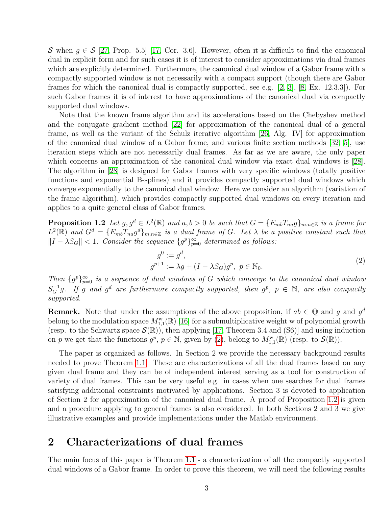S when  $g \in S$  [\[27,](#page-10-11) Prop. 5.5] [\[17,](#page-10-12) Cor. 3.6]. However, often it is difficult to find the canonical dual in explicit form and for such cases it is of interest to consider approximations via dual frames which are explicitly determined. Furthermore, the canonical dual window of a Gabor frame with a compactly supported window is not necessarily with a compact support (though there are Gabor frames for which the canonical dual is compactly supported, see e.g.  $[2, 3]$  $[2, 3]$ ,  $[8, Ex. 12.3.3]$  $[8, Ex. 12.3.3]$ . For such Gabor frames it is of interest to have approximations of the canonical dual via compactly supported dual windows.

Note that the known frame algorithm and its accelerations based on the Chebyshev method and the conjugate gradient method [\[22\]](#page-10-13) for approximation of the canonical dual of a general frame, as well as the variant of the Schulz iterative algorithm [\[26,](#page-10-14) Alg. IV] for approximation of the canonical dual window of a Gabor frame, and various finite section methods [\[32,](#page-11-2) [5\]](#page-9-12), use iteration steps which are not necessarily dual frames. As far as we are aware, the only paper which concerns an approximation of the canonical dual window via exact dual windows is [\[28\]](#page-10-15). The algorithm in [\[28\]](#page-10-15) is designed for Gabor frames with very specific windows (totally positive functions and exponential B-splines) and it provides compactly supported dual windows which converge exponentially to the canonical dual window. Here we consider an algorithm (variation of the frame algorithm), which provides compactly supported dual windows on every iteration and applies to a quite general class of Gabor frames.

<span id="page-2-0"></span>**Proposition 1.2** Let  $g, g^d \in L^2(\mathbb{R})$  and  $a, b > 0$  be such that  $G = \{E_{mb}T_{na}g\}_{m,n \in \mathbb{Z}}$  is a frame for  $L^2(\mathbb{R})$  and  $G^d = \{E_{mb}T_{na}g^d\}_{m,n\in\mathbb{Z}}$  is a dual frame of G. Let  $\lambda$  be a positive constant such that  $||I - \lambda S_G|| < 1$ . Consider the sequence  $\{g^p\}_{p=0}^{\infty}$  determined as follows:

<span id="page-2-1"></span>
$$
g^{0} := g^{d},
$$
  
\n
$$
g^{p+1} := \lambda g + (I - \lambda S_{G})g^{p}, \ p \in \mathbb{N}_{0}.
$$
\n(2)

Then  ${g^p}_{p=0}^{\infty}$  is a sequence of dual windows of G which converge to the canonical dual window  $S_G^{-1}g$ . If g and g<sup>d</sup> are furthermore compactly supported, then  $g^p$ ,  $p \in \mathbb{N}$ , are also compactly supported.

**Remark.** Note that under the assumptions of the above proposition, if  $ab \in \mathbb{Q}$  and g and  $g^d$ belong to the modulation space  $M_{1,1}^w(\mathbb{R})$  [\[16\]](#page-10-16) for a submultiplicative weight w of polynomial growth (resp. to the Schwartz space  $\mathcal{S}(\mathbb{R})$ ), then applying [\[17,](#page-10-12) Theorem 3.4 and (S6)] and using induction on p we get that the functions  $g^p$ ,  $p \in \mathbb{N}$ , given by [\(2\)](#page-2-1), belong to  $M^{\mathbf{w}}_{1,1}(\mathbb{R})$  (resp. to  $\mathcal{S}(\mathbb{R})$ ).

The paper is organized as follows. In Section 2 we provide the necessary background results needed to prove Theorem [1.1.](#page-1-2) These are characterizations of all the dual frames based on any given dual frame and they can be of independent interest serving as a tool for construction of variety of dual frames. This can be very useful e.g. in cases when one searches for dual frames satisfying additional constraints motivated by applications. Section 3 is devoted to application of Section 2 for approximation of the canonical dual frame. A proof of Proposition [1.2](#page-2-0) is given and a procedure applying to general frames is also considered. In both Sections 2 and 3 we give illustrative examples and provide implementations under the Matlab environment.

### <span id="page-2-2"></span>2 Characterizations of dual frames

The main focus of this paper is Theorem [1.1](#page-1-2) - a characterization of all the compactly supported dual windows of a Gabor frame. In order to prove this theorem, we will need the following results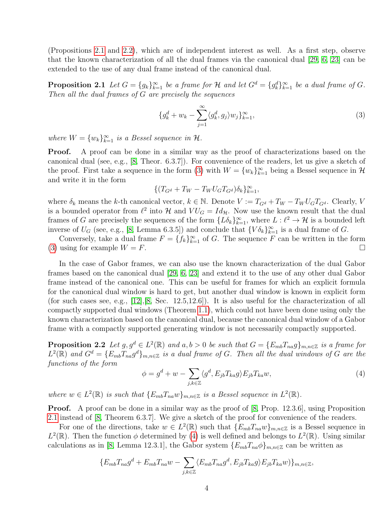(Propositions [2.1](#page-3-0) and [2.2\)](#page-3-1), which are of independent interest as well. As a first step, observe that the known characterization of all the dual frames via the canonical dual [\[29,](#page-10-6) [6,](#page-9-8) [23\]](#page-10-10) can be extended to the use of any dual frame instead of the canonical dual.

<span id="page-3-0"></span>**Proposition 2.1** Let  $G = \{g_k\}_{k=1}^{\infty}$  be a frame for  $\mathcal{H}$  and let  $G^d = \{g_k^d\}_{k=1}^{\infty}$  be a dual frame of  $G$ . Then all the dual frames of G are precisely the sequences

<span id="page-3-2"></span>
$$
\{g_k^d + w_k - \sum_{j=1}^{\infty} \langle g_k^d, g_j \rangle w_j\}_{k=1}^{\infty},
$$
\n(3)

where  $W = \{w_k\}_{k=1}^{\infty}$  is a Bessel sequence in  $\mathcal{H}$ .

**Proof.** A proof can be done in a similar way as the proof of characterizations based on the canonical dual (see, e.g., [\[8,](#page-9-1) Theor. 6.3.7]). For convenience of the readers, let us give a sketch of the proof. First take a sequence in the form [\(3\)](#page-3-2) with  $W = \{w_k\}_{k=1}^{\infty}$  being a Bessel sequence in  $\mathcal{H}$ and write it in the form

$$
\{(T_{G^d}+T_W-T_WU_{G}T_{G^d})\delta_k\}_{k=1}^\infty,
$$

where  $\delta_k$  means the k-th canonical vector,  $k \in \mathbb{N}$ . Denote  $V := T_{G^d} + T_W - T_W U_G T_{G^d}$ . Clearly, V is a bounded operator from  $\ell^2$  into H and  $V U_G = Id_{\mathcal{H}}$ . Now use the known result that the dual frames of G are precisely the sequences of the form  $\{L\delta_k\}_{k=1}^{\infty}$ , where  $L:\ell^2\to\mathcal{H}$  is a bounded left inverse of  $U_G$  (see, e.g., [\[8,](#page-9-1) Lemma 6.3.5]) and conclude that  $\{V \delta_k\}_{k=1}^{\infty}$  is a dual frame of G.

Conversely, take a dual frame  $F = \{f_k\}_{k=1}^{\infty}$  of G. The sequence F can be written in the form [\(3\)](#page-3-2) using for example  $W = F$ .

In the case of Gabor frames, we can also use the known characterization of the dual Gabor frames based on the canonical dual [\[29,](#page-10-6) [6,](#page-9-8) [23\]](#page-10-10) and extend it to the use of any other dual Gabor frame instead of the canonical one. This can be useful for frames for which an explicit formula for the canonical dual window is hard to get, but another dual window is known in explicit form (for such cases see, e.g.,  $[12]$ ,  $[8]$ , Sec. 12.5,12.6). It is also useful for the characterization of all compactly supported dual windows (Theorem [1.1\)](#page-1-2), which could not have been done using only the known characterization based on the canonical dual, because the canonical dual window of a Gabor frame with a compactly supported generating window is not necessarily compactly supported.

<span id="page-3-1"></span>**Proposition 2.2** Let  $g, g^d \in L^2(\mathbb{R})$  and  $a, b > 0$  be such that  $G = \{E_{mb}T_{na}g\}_{m,n \in \mathbb{Z}}$  is a frame for  $L^2(\mathbb{R})$  and  $G^d = \{E_{mb}T_{na}g^d\}_{m,n\in\mathbb{Z}}$  is a dual frame of G. Then all the dual windows of G are the functions of the form

<span id="page-3-3"></span>
$$
\phi = g^d + w - \sum_{j,k \in \mathbb{Z}} \langle g^d, E_{jb} T_{ka} g \rangle E_{jb} T_{ka} w,\tag{4}
$$

where  $w \in L^2(\mathbb{R})$  is such that  $\{E_{mb}T_{na}w\}_{m,n\in\mathbb{Z}}$  is a Bessel sequence in  $L^2(\mathbb{R})$ .

**Proof.** A proof can be done in a similar way as the proof of [\[8,](#page-9-1) Prop. 12.3.6], using Proposition [2.1](#page-3-0) instead of [\[8,](#page-9-1) Theorem 6.3.7]. We give a sketch of the proof for convenience of the readers.

For one of the directions, take  $w \in L^2(\mathbb{R})$  such that  $\{E_{mb}T_{na}w\}_{m,n\in\mathbb{Z}}$  is a Bessel sequence in  $L^2(\mathbb{R})$ . Then the function  $\phi$  determined by [\(4\)](#page-3-3) is well defined and belongs to  $L^2(\mathbb{R})$ . Using similar calculations as in [\[8,](#page-9-1) Lemma 12.3.1], the Gabor system  $\{E_{mb}T_{na}\phi\}_{m,n\in\mathbb{Z}}$  can be written as

$$
\{E_{mb}T_{na}g^d + E_{mb}T_{na}w - \sum_{j,k\in\mathbb{Z}} \langle E_{mb}T_{na}g^d, E_{jb}T_{ka}g \rangle E_{jb}T_{ka}w)\}_{m,n\in\mathbb{Z}},
$$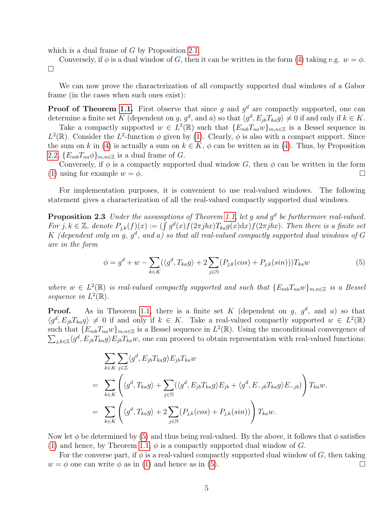which is a dual frame of G by Proposition [2.1.](#page-3-0)

Conversely, if  $\phi$  is a dual window of G, then it can be written in the form [\(4\)](#page-3-3) taking e.g.  $w = \phi$ .  $\Box$ 

We can now prove the characterization of all compactly supported dual windows of a Gabor frame (in the cases when such ones exist):

**Proof of Theorem [1.1.](#page-1-2)** First observe that since g and  $g^d$  are compactly supported, one can determine a finite set K (dependent on g,  $g^d$ , and a) so that  $\langle g^d, E_{jb}T_{ka}g \rangle \neq 0$  if and only if  $k \in K$ .

Take a compactly supported  $w \in L^2(\mathbb{R})$  such that  $\{E_{mb}T_{na}w\}_{m,n\in\mathbb{Z}}$  is a Bessel sequence in  $L^2(\mathbb{R})$ . Consider the  $L^2$ -function  $\phi$  given by [\(1\)](#page-1-3). Clearly,  $\phi$  is also with a compact support. Since the sum on k in [\(4\)](#page-3-3) is actually a sum on  $k \in K$ ,  $\phi$  can be written as in (4). Thus, by Proposition [2.2,](#page-3-1)  $\{E_{mb}T_{na}\phi\}_{m,n\in\mathbb{Z}}$  is a dual frame of G.

Conversely, if  $\phi$  is a compactly supported dual window G, then  $\phi$  can be written in the form [\(1\)](#page-1-3) using for example  $w = \phi$ .

For implementation purposes, it is convenient to use real-valued windows. The following statement gives a characterization of all the real-valued compactly supported dual windows.

<span id="page-4-1"></span>**Proposition 2.3** Under the assumptions of Theorem [1.1,](#page-1-2) let g and  $g^d$  be furthermore real-valued. For j,  $k \in \mathbb{Z}$ , denote  $P_{j,k}(f)(x) := (\int g^d(x) f(2\pi jbx) T_{ka} g(x) dx) f(2\pi jbx)$ . Then there is a finite set K (dependent only on g,  $g^d$ , and a) so that all real-valued compactly supported dual windows of G are in the form

<span id="page-4-0"></span>
$$
\phi = g^d + w - \sum_{k \in K} (\langle g^d, T_{ka} g \rangle + 2 \sum_{j \in \mathbb{N}} (P_{j,k}(\cos) + P_{j,k}(\sin))) T_{ka} w \tag{5}
$$

where  $w \in L^2(\mathbb{R})$  is real-valued compactly supported and such that  $\{E_{mb}T_{na}w\}_{m,n\in\mathbb{Z}}$  is a Bessel sequence in  $L^2(\mathbb{R})$ .

**Proof.** As in Theorem [1.1,](#page-1-2) there is a finite set K (dependent on g,  $g^d$ , and a) so that  $\langle g^d, E_{jb}T_{ka}g \rangle \neq 0$  if and only if  $k \in K$ . Take a real-valued compactly supported  $w \in L^2(\mathbb{R})$ such that  $\{E_{mb}T_{na}w\}_{m,n\in\mathbb{Z}}$  is a Bessel sequence in  $L^2(\mathbb{R})$ . Using the unconditional convergence of  $\sum_{j,k\in\mathbb{Z}}\langle g^d,E_{jb}T_{ka}g\rangle E_{jb}T_{ka}w$ , one can proceed to obtain representation with real-valued functions:

$$
\sum_{k \in K} \sum_{j \in \mathbb{Z}} \langle g^d, E_{jb} T_{ka} g \rangle E_{jb} T_{ka} w
$$
\n
$$
= \sum_{k \in K} \left( \langle g^d, T_{ka} g \rangle + \sum_{j \in \mathbb{N}} (\langle g^d, E_{jb} T_{ka} g \rangle E_{jb} + \langle g^d, E_{-jb} T_{ka} g \rangle E_{-jb}) \right) T_{ka} w.
$$
\n
$$
= \sum_{k \in K} \left( \langle g^d, T_{ka} g \rangle + 2 \sum_{j \in \mathbb{N}} (P_{j,k}(\cos) + P_{j,k}(\sin)) \right) T_{ka} w.
$$

Now let  $\phi$  be determined by [\(5\)](#page-4-0) and thus being real-valued. By the above, it follows that  $\phi$  satisfies [\(1\)](#page-1-3) and hence, by Theorem [1.1,](#page-1-2)  $\phi$  is a compactly supported dual window of G.

For the converse part, if  $\phi$  is a real-valued compactly supported dual window of G, then taking  $w = \phi$  one can write  $\phi$  as in [\(1\)](#page-1-3) and hence as in [\(5\)](#page-4-0).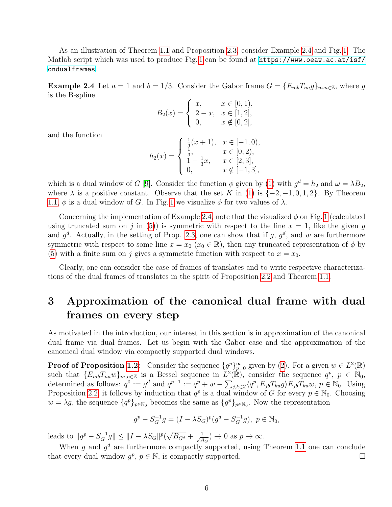As an illustration of Theorem [1.1](#page-1-2) and Proposition [2.3,](#page-4-1) consider Example [2.4](#page-5-0) and Fig. [1.](#page-6-0) The Matlab script which was used to produce Fig. [1](#page-6-0) can be found at [https://www.oeaw.ac.at/isf/](https://www.oeaw.ac.at/isf/ondualframes) [ondualframes](https://www.oeaw.ac.at/isf/ondualframes).

<span id="page-5-0"></span>**Example 2.4** Let  $a = 1$  and  $b = 1/3$ . Consider the Gabor frame  $G = \{E_{mb}T_{na}g\}_{m,n\in\mathbb{Z}}$ , where g is the B-spline

$$
B_2(x) = \begin{cases} x, & x \in [0, 1), \\ 2 - x, & x \in [1, 2], \\ 0, & x \notin [0, 2], \end{cases}
$$

and the function

$$
h_2(x) = \begin{cases} \frac{1}{3}(x+1), & x \in [-1,0), \\ \frac{1}{3}, & x \in [0,2), \\ 1 - \frac{1}{3}x, & x \in [2,3], \\ 0, & x \notin [-1,3], \end{cases}
$$

which is a dual window of G [\[9\]](#page-9-5). Consider the function  $\phi$  given by [\(1\)](#page-1-3) with  $g^d = h_2$  and  $\omega = \lambda B_2$ , where  $\lambda$  is a positive constant. Observe that the set K in [\(1\)](#page-1-3) is  $\{-2, -1, 0, 1, 2\}$ . By Theorem [1.1,](#page-1-2)  $\phi$  is a dual window of G. In Fig. [1](#page-6-0) we visualize  $\phi$  for two values of  $\lambda$ .

Concerning the implementation of Example [2.4,](#page-5-0) note that the visualized  $\phi$  on Fig. [1](#page-6-0) (calculated using truncated sum on j in [\(5\)](#page-4-0)) is symmetric with respect to the line  $x = 1$ , like the given g and  $g^d$ . Actually, in the setting of Prop. [2.3,](#page-4-1) one can show that if g,  $g^d$ , and w are furthermore symmetric with respect to some line  $x = x_0$  ( $x_0 \in \mathbb{R}$ ), then any truncated representation of  $\phi$  by [\(5\)](#page-4-0) with a finite sum on j gives a symmetric function with respect to  $x = x_0$ .

Clearly, one can consider the case of frames of translates and to write respective characterizations of the dual frames of translates in the spirit of Proposition [2.2](#page-3-1) and Theorem [1.1.](#page-1-2)

## 3 Approximation of the canonical dual frame with dual frames on every step

As motivated in the introduction, our interest in this section is in approximation of the canonical dual frame via dual frames. Let us begin with the Gabor case and the approximation of the canonical dual window via compactly supported dual windows.

**Proof of Proposition [1.2:](#page-2-0)** Consider the sequence  $\{g^p\}_{p=0}^{\infty}$  given by [\(2\)](#page-2-1). For a given  $w \in L^2(\mathbb{R})$ such that  $\{E_{mb}T_{na}w\}_{m,n\in\mathbb{Z}}$  is a Bessel sequence in  $L^2(\mathbb{R})$ , consider the sequence  $q^p$ ,  $p \in \mathbb{N}_0$ , determined as follows:  $q^0 := g^d$  and  $q^{p+1} := q^p + w - \sum_{j,k \in \mathbb{Z}} \langle q^p, E_{jb} T_{ka} g \rangle E_{jb} T_{ka} w, p \in \mathbb{N}_0$ . Using Proposition [2.2,](#page-3-1) it follows by induction that  $q^p$  is a dual window of G for every  $p \in \mathbb{N}_0$ . Choosing  $w = \lambda g$ , the sequence  ${q^p}_{p \in \mathbb{N}_0}$  becomes the same as  ${q^p}_{p \in \mathbb{N}_0}$ . Now the representation

$$
g^{p} - S_{G}^{-1}g = (I - \lambda S_{G})^{p}(g^{d} - S_{G}^{-1}g), \ p \in \mathbb{N}_{0},
$$

leads to  $||g^p - S_G^{-1}g|| \le ||I - \lambda S_G||^p$ √  $\overline{B_{G^d}} + \frac{1}{\sqrt{A}}$  $\frac{1}{\overline{A_G}}$ )  $\to 0$  as  $p \to \infty$ .

When g and  $g^d$  are furthermore compactly supported, using Theorem [1.1](#page-1-2) one can conclude that every dual window  $g^p$ ,  $p \in \mathbb{N}$ , is compactly supported.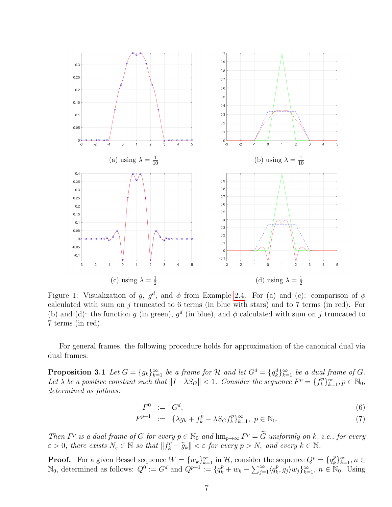<span id="page-6-0"></span>

Figure 1: Visualization of g,  $g^d$ , and  $\phi$  from Example [2.4.](#page-5-0) For (a) and (c): comparison of  $\phi$ calculated with sum on  $j$  truncated to 6 terms (in blue with stars) and to 7 terms (in red). For (b) and (d): the function g (in green),  $g^d$  (in blue), and  $\phi$  calculated with sum on j truncated to 7 terms (in red).

For general frames, the following procedure holds for approximation of the canonical dual via dual frames:

<span id="page-6-1"></span>**Proposition 3.1** Let  $G = \{g_k\}_{k=1}^{\infty}$  be a frame for  $\mathcal{H}$  and let  $G^d = \{g_k^d\}_{k=1}^{\infty}$  be a dual frame of  $G$ . Let  $\lambda$  be a positive constant such that  $||I - \lambda S_G|| < 1$ . Consider the sequence  $F^p = \{f_k^p\}$  $\{e_k^p\}_{k=1}^{\infty}, p \in \mathbb{N}_0,$ determined as follows:

<span id="page-6-2"></span>
$$
F^0 \quad := \quad G^d,\tag{6}
$$

$$
F^{p+1} := \{ \lambda g_k + f_k^p - \lambda S_G f_k^p \}_{k=1}^{\infty}, \ p \in \mathbb{N}_0.
$$
 (7)

Then  $F^p$  is a dual frame of G for every  $p \in \mathbb{N}_0$  and  $\lim_{p \to \infty} F^p = \widetilde{G}$  uniformly on k, i.e., for every  $\varepsilon > 0$ , there exists  $N_{\varepsilon} \in \mathbb{N}$  so that  $||f_k^p - \widetilde{g}_k|| < \varepsilon$  for every  $p > N_{\varepsilon}$  and every  $k \in \mathbb{N}$ .

**Proof.** For a given Bessel sequence  $W = \{w_k\}_{k=1}^{\infty}$  in  $\mathcal{H}$ , consider the sequence  $Q^p = \{q_k^p\}$  $_{k}^{p}\}_{k=1}^{\infty},n\in$  $\mathbb{N}_0$ , determined as follows:  $Q^0 := G^d$  and  $\hat{Q}^{p+1} := \{q_k^p + w_k - \sum_{j=1}^{\infty} \langle q_k^p \rangle\}$  $\{e_k, g_j\}$  $w_j\}_{k=1}^{\infty}$ ,  $n \in \mathbb{N}_0$ . Using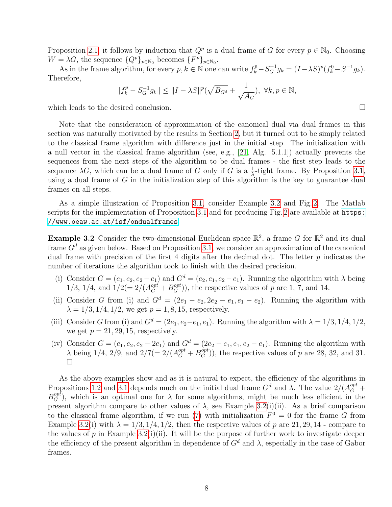Proposition [2.1,](#page-3-0) it follows by induction that  $Q^p$  is a dual frame of G for every  $p \in \mathbb{N}_0$ . Choosing  $W = \lambda G$ , the sequence  $\{Q^p\}_{p \in \mathbb{N}_0}$  becomes  $\{F^p\}_{p \in \mathbb{N}_0}$ .

As in the frame algorithm, for every  $p, k \in \mathbb{N}$  one can write  $f_k^p - S_G^{-1}g_k = (I - \lambda S)^p (f_k^0 - S^{-1}g_k)$ . Therefore,

$$
||f_{k}^{p} - S_{G}^{-1}g_{k}|| \le ||I - \lambda S||^{p}(\sqrt{B_{G}^{d}} + \frac{1}{\sqrt{A_{G}}}), \ \forall k, p \in \mathbb{N},
$$

which leads to the desired conclusion.

Note that the consideration of approximation of the canonical dual via dual frames in this section was naturally motivated by the results in Section [2,](#page-2-2) but it turned out to be simply related to the classical frame algorithm with difference just in the initial step. The initialization with a null vector in the classical frame algorithm (see, e.g., [\[21,](#page-10-3) Alg. 5.1.1]) actually prevents the sequences from the next steps of the algorithm to be dual frames - the first step leads to the sequence  $\lambda G$ , which can be a dual frame of G only if G is a  $\frac{1}{\lambda}$ -tight frame. By Proposition [3.1,](#page-6-1) using a dual frame of  $G$  in the initialization step of this algorithm is the key to guarantee dual frames on all steps.

As a simple illustration of Proposition [3.1,](#page-6-1) consider Example [3.2](#page-7-0) and Fig. [2.](#page-8-0) The Matlab scripts for the implementation of Proposition [3.1](#page-6-1) and for producing Fig. [2](#page-8-0) are available at [https:](https://www.oeaw.ac.at/isf/ondualframes) [//www.oeaw.ac.at/isf/ondualframes](https://www.oeaw.ac.at/isf/ondualframes).

<span id="page-7-0"></span>**Example 3.2** Consider the two-dimensional Euclidean space  $\mathbb{R}^2$ , a frame G for  $\mathbb{R}^2$  and its dual frame  $G<sup>d</sup>$  as given below. Based on Proposition [3.1,](#page-6-1) we consider an approximation of the canonical dual frame with precision of the first 4 digits after the decimal dot. The letter  $p$  indicates the number of iterations the algorithm took to finish with the desired precision.

- (i) Consider  $G = (e_1, e_2, e_2 e_1)$  and  $G^d = (e_2, e_1, e_2 e_1)$ . Running the algorithm with  $\lambda$  being 1/3, 1/4, and  $1/2 (= 2/(A_G^{opt} + B_G^{opt}))$ , the respective values of p are 1, 7, and 14.
- (ii) Consider G from (i) and  $G^d = (2e_1 e_2, 2e_2 e_1, e_1 e_2)$ . Running the algorithm with  $\lambda = 1/3, 1/4, 1/2$ , we get  $p = 1, 8, 15$ , respectively.
- (iii) Consider G from (i) and  $G^d = (2e_1, e_2-e_1, e_1)$ . Running the algorithm with  $\lambda = 1/3, 1/4, 1/2$ , we get  $p = 21, 29, 15$ , respectively.
- (iv) Consider  $G = (e_1, e_2, e_2 2e_1)$  and  $G^d = (2e_2 e_1, e_1, e_2 e_1)$ . Running the algorithm with  $\lambda$  being 1/4, 2/9, and 2/7(= 2/( $A_G^{opt} + B_G^{opt}$ )), the respective values of p are 28, 32, and 31.  $\Box$

As the above examples show and as it is natural to expect, the efficiency of the algorithms in Propositions [1.2](#page-2-0) and [3.1](#page-6-1) depends much on the initial dual frame  $G^d$  and  $\lambda$ . The value  $2/(A_G^{opt} +$  $B_G^{opt}$ , which is an optimal one for  $\lambda$  for some algorithms, might be much less efficient in the present algorithm compare to other values of  $\lambda$ , see Example [3.2\(](#page-7-0)i)(ii). As a brief comparison to the classical frame algorithm, if we run [\(7\)](#page-6-2) with initialization  $F^0 = 0$  for the frame G from Example [3.2\(](#page-7-0)i) with  $\lambda = 1/3, 1/4, 1/2$ , then the respective values of p are 21, 29, 14 - compare to the values of p in Example [3.2\(](#page-7-0)i)(ii). It will be the purpose of further work to investigate deeper the efficiency of the present algorithm in dependence of  $G^d$  and  $\lambda$ , especially in the case of Gabor frames.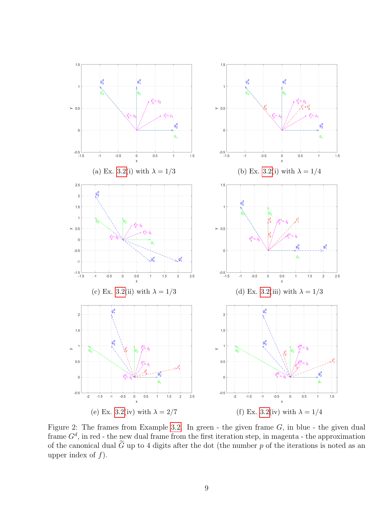<span id="page-8-0"></span>

Figure 2: The frames from Example [3.2.](#page-7-0) In green - the given frame  $G$ , in blue - the given dual frame  $G<sup>d</sup>$ , in red - the new dual frame from the first iteration step, in magenta - the approximation of the canonical dual  $\tilde{G}$  up to 4 digits after the dot (the number p of the iterations is noted as an upper index of  $f$ ).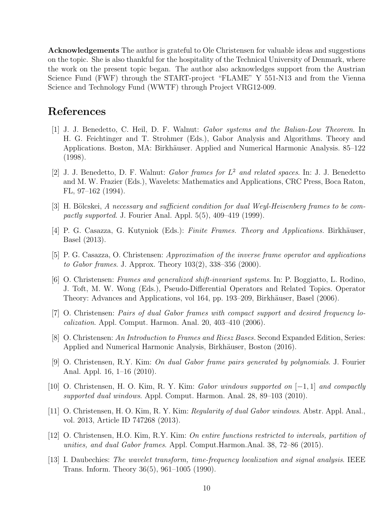Acknowledgements The author is grateful to Ole Christensen for valuable ideas and suggestions on the topic. She is also thankful for the hospitality of the Technical University of Denmark, where the work on the present topic began. The author also acknowledges support from the Austrian Science Fund (FWF) through the START-project "FLAME" Y 551-N13 and from the Vienna Science and Technology Fund (WWTF) through Project VRG12-009.

### References

- <span id="page-9-3"></span>[1] J. J. Benedetto, C. Heil, D. F. Walnut: Gabor systems and the Balian-Low Theorem. In H. G. Feichtinger and T. Strohmer (Eds.), Gabor Analysis and Algorithms. Theory and Applications. Boston, MA: Birkhäuser. Applied and Numerical Harmonic Analysis. 85–122 (1998).
- <span id="page-9-10"></span>[2] J. J. Benedetto, D. F. Walnut: Gabor frames for  $L^2$  and related spaces. In: J. J. Benedetto and M. W. Frazier (Eds.), Wavelets: Mathematics and Applications, CRC Press, Boca Raton, FL, 97–162 (1994).
- <span id="page-9-11"></span>[3] H. Bölcskei, A necessary and sufficient condition for dual Weyl-Heisenberg frames to be compactly supported. J. Fourier Anal. Appl.  $5(5)$ , 409–419 (1999).
- <span id="page-9-0"></span>[4] P. G. Casazza, G. Kutyniok (Eds.): Finite Frames. Theory and Applications. Birkhäuser, Basel (2013).
- <span id="page-9-12"></span>[5] P. G. Casazza, O. Christensen: Approximation of the inverse frame operator and applications to Gabor frames. J. Approx. Theory 103(2), 338–356 (2000).
- <span id="page-9-8"></span>[6] O. Christensen: Frames and generalized shift-invariant systems. In: P. Boggiatto, L. Rodino, J. Toft, M. W. Wong (Eds.), Pseudo-Differential Operators and Related Topics. Operator Theory: Advances and Applications, vol 164, pp. 193–209, Birkhäuser, Basel (2006).
- <span id="page-9-4"></span>[7] O. Christensen: Pairs of dual Gabor frames with compact support and desired frequency localization. Appl. Comput. Harmon. Anal. 20, 403–410 (2006).
- <span id="page-9-1"></span>[8] O. Christensen: An Introduction to Frames and Riesz Bases. Second Expanded Edition, Series: Applied and Numerical Harmonic Analysis, Birkhäuser, Boston (2016).
- <span id="page-9-5"></span>[9] O. Christensen, R.Y. Kim: On dual Gabor frame pairs generated by polynomials. J. Fourier Anal. Appl. 16, 1–16 (2010).
- <span id="page-9-9"></span>[10] O. Christensen, H. O. Kim, R. Y. Kim: Gabor windows supported on [−1, 1] and compactly supported dual windows. Appl. Comput. Harmon. Anal. 28, 89–103 (2010).
- <span id="page-9-6"></span>[11] O. Christensen, H. O. Kim, R. Y. Kim: Regularity of dual Gabor windows. Abstr. Appl. Anal., vol. 2013, Article ID 747268 (2013).
- <span id="page-9-7"></span>[12] O. Christensen, H.O. Kim, R.Y. Kim: On entire functions restricted to intervals, partition of unities, and dual Gabor frames. Appl. Comput.Harmon.Anal. 38, 72–86 (2015).
- <span id="page-9-2"></span>[13] I. Daubechies: The wavelet transform, time-frequency localization and signal analysis. IEEE Trans. Inform. Theory 36(5), 961–1005 (1990).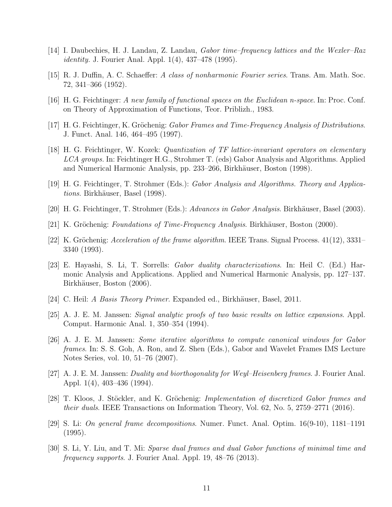- <span id="page-10-8"></span>[14] I. Daubechies, H. J. Landau, Z. Landau, Gabor time–frequency lattices and the Wexler–Raz identity. J. Fourier Anal. Appl. 1(4), 437–478 (1995).
- <span id="page-10-0"></span>[15] R. J. Duffin, A. C. Schaeffer: A class of nonharmonic Fourier series. Trans. Am. Math. Soc. 72, 341–366 (1952).
- <span id="page-10-16"></span>[16] H. G. Feichtinger: A new family of functional spaces on the Euclidean n-space. In: Proc. Conf. on Theory of Approximation of Functions, Teor. Priblizh., 1983.
- <span id="page-10-12"></span>[17] H. G. Feichtinger, K. Gröchenig: Gabor Frames and Time-Frequency Analysis of Distributions. J. Funct. Anal. 146, 464–495 (1997).
- <span id="page-10-9"></span>[18] H. G. Feichtinger, W. Kozek: Quantization of TF lattice-invariant operators on elementary LCA groups. In: Feichtinger H.G., Strohmer T. (eds) Gabor Analysis and Algorithms. Applied and Numerical Harmonic Analysis, pp. 233–266, Birkhäuser, Boston (1998).
- <span id="page-10-1"></span>[19] H. G. Feichtinger, T. Strohmer (Eds.): Gabor Analysis and Algorithms. Theory and Applications. Birkhäuser, Basel (1998).
- <span id="page-10-2"></span>[20] H. G. Feichtinger, T. Strohmer (Eds.): Advances in Gabor Analysis. Birkhäuser, Basel (2003).
- <span id="page-10-3"></span>[21] K. Gröchenig: Foundations of Time-Frequency Analysis. Birkhäuser, Boston (2000).
- <span id="page-10-13"></span>[22] K. Gröchenig: Acceleration of the frame algorithm. IEEE Trans. Signal Process.  $41(12)$ ,  $3331-$ 3340 (1993).
- <span id="page-10-10"></span>[23] E. Hayashi, S. Li, T. Sorrells: Gabor duality characterizations. In: Heil C. (Ed.) Harmonic Analysis and Applications. Applied and Numerical Harmonic Analysis, pp. 127–137. Birkhäuser, Boston (2006).
- <span id="page-10-4"></span>[24] C. Heil: A Basis Theory Primer. Expanded ed., Birkhäuser, Basel, 2011.
- <span id="page-10-7"></span>[25] A. J. E. M. Janssen: Signal analytic proofs of two basic results on lattice expansions. Appl. Comput. Harmonic Anal. 1, 350–354 (1994).
- <span id="page-10-14"></span>[26] A. J. E. M. Janssen: Some iterative algorithms to compute canonical windows for Gabor frames. In: S. S. Goh, A. Ron, and Z. Shen (Eds.), Gabor and Wavelet Frames IMS Lecture Notes Series, vol. 10, 51–76 (2007).
- <span id="page-10-11"></span>[27] A. J. E. M. Janssen: Duality and biorthogonality for Weyl–Heisenberg frames. J. Fourier Anal. Appl. 1(4), 403–436 (1994).
- <span id="page-10-15"></span>[28] T. Kloos, J. Stöckler, and K. Gröchenig: Implementation of discretized Gabor frames and their duals. IEEE Transactions on Information Theory, Vol. 62, No. 5, 2759–2771 (2016).
- <span id="page-10-6"></span>[29] S. Li: On general frame decompositions. Numer. Funct. Anal. Optim. 16(9-10), 1181–1191 (1995).
- <span id="page-10-5"></span>[30] S. Li, Y. Liu, and T. Mi: Sparse dual frames and dual Gabor functions of minimal time and frequency supports. J. Fourier Anal. Appl. 19, 48–76 (2013).